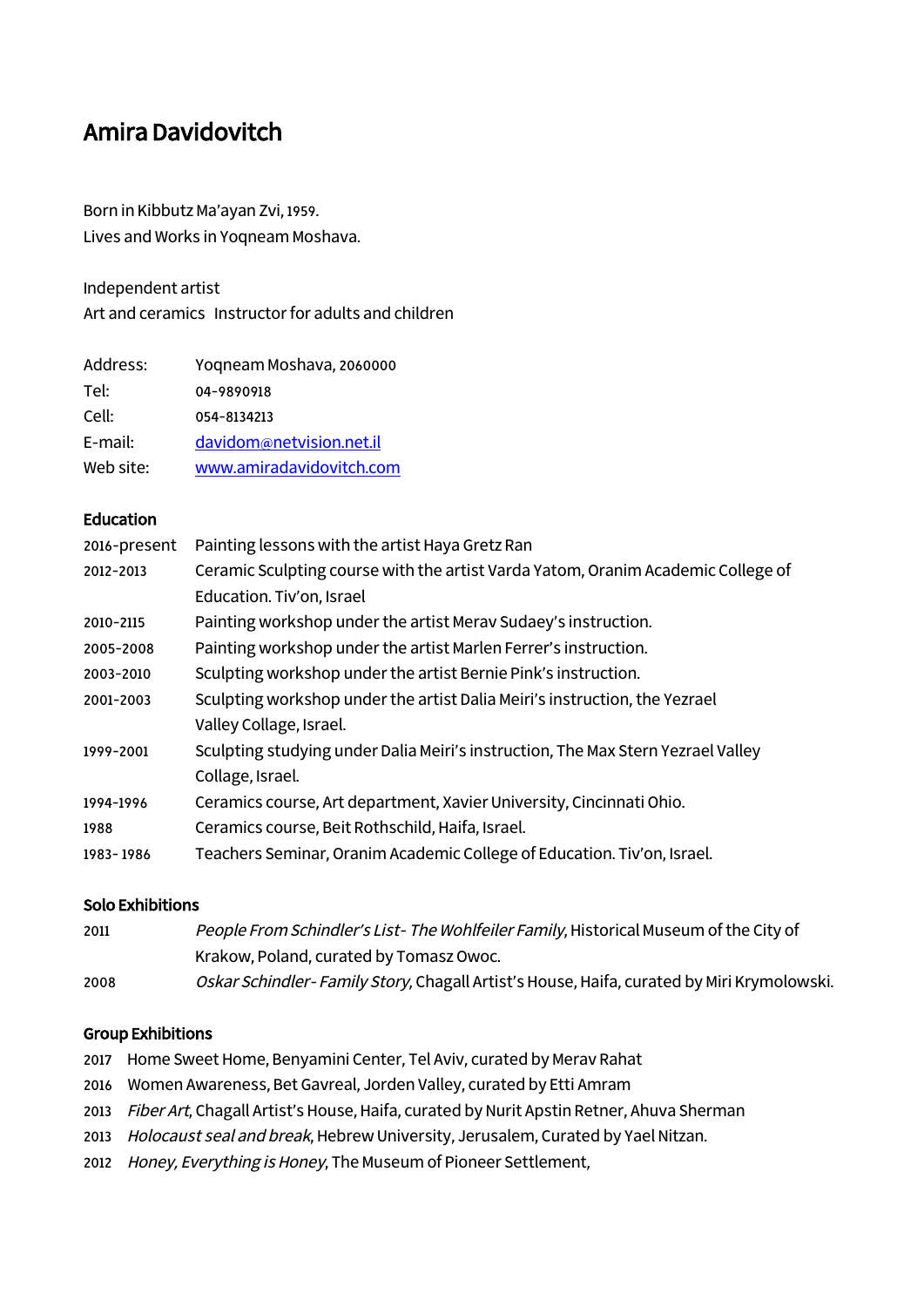# Amira Davidovitch

Born in Kibbutz Ma'ayan Zvi, 1959. Lives and Works in Yoqneam Moshava.

Independent artist

Art and ceramics Instructor for adults and children

| Address:  | Yoqneam Moshava, 2060000 |
|-----------|--------------------------|
| Tel:      | 04-9890918               |
| Cell:     | 054-8134213              |
| E-mail:   | davidom@netvision.net.il |
| Web site: | www.amiradavidovitch.com |

#### **Education**

| Ceramic Sculpting course with the artist Varda Yatom, Oranim Academic College of |
|----------------------------------------------------------------------------------|
|                                                                                  |
|                                                                                  |
|                                                                                  |
|                                                                                  |
|                                                                                  |
|                                                                                  |
|                                                                                  |
|                                                                                  |
|                                                                                  |
|                                                                                  |
|                                                                                  |
|                                                                                  |

### Solo Exhibitions

2011 People From Schindler's List- The Wohlfeiler Family, Historical Museum of the City of Krakow, Poland, curated by Tomasz Owoc. 2008 Oskar Schindler- Family Story, Chagall Artist's House, Haifa, curated by Miri Krymolowski.

#### Group Exhibitions

- 2017 Home Sweet Home, Benyamini Center, Tel Aviv, curated by Merav Rahat
- 2016 Women Awareness, Bet Gavreal, Jorden Valley, curated by Etti Amram
- 2013 Fiber Art, Chagall Artist's House, Haifa, curated by Nurit Apstin Retner, Ahuva Sherman
- 2013 Holocaust seal and break, Hebrew University, Jerusalem, Curated by Yael Nitzan.
- 2012 Honey, Everything is Honey, The Museum of Pioneer Settlement,